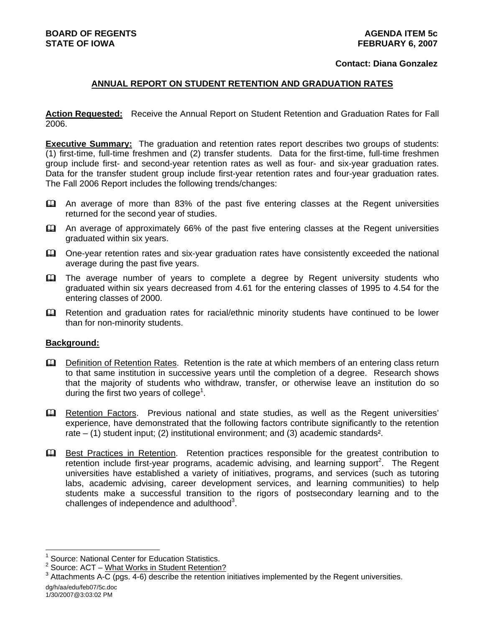#### **Contact: Diana Gonzalez**

#### **ANNUAL REPORT ON STUDENT RETENTION AND GRADUATION RATES**

**Action Requested:** Receive the Annual Report on Student Retention and Graduation Rates for Fall 2006.

**Executive Summary:** The graduation and retention rates report describes two groups of students: (1) first-time, full-time freshmen and (2) transfer students. Data for the first-time, full-time freshmen group include first- and second-year retention rates as well as four- and six-year graduation rates. Data for the transfer student group include first-year retention rates and four-year graduation rates. The Fall 2006 Report includes the following trends/changes:

- An average of more than 83% of the past five entering classes at the Regent universities returned for the second year of studies.
- An average of approximately 66% of the past five entering classes at the Regent universities graduated within six years.
- One-year retention rates and six-year graduation rates have consistently exceeded the national average during the past five years.
- **Example 2** The average number of years to complete a degree by Regent university students who graduated within six years decreased from 4.61 for the entering classes of 1995 to 4.54 for the entering classes of 2000.
- Retention and graduation rates for racial/ethnic minority students have continued to be lower than for non-minority students.

#### **Background:**

- Definition of Retention Rates. Retention is the rate at which members of an entering class return to that same institution in successive years until the completion of a degree. Research shows that the majority of students who withdraw, transfer, or otherwise leave an institution do so during the first two years of college<sup>1</sup>.
- E Retention Factors. Previous national and state studies, as well as the Regent universities' experience, have demonstrated that the following factors contribute significantly to the retention rate – (1) student input; (2) institutional environment; and (3) academic standards².
- Best Practices in Retention. Retention practices responsible for the greatest contribution to  $r$ etention include first-year programs, academic advising, and learning support<sup>2</sup>. The Regent universities have established a variety of initiatives, programs, and services (such as tutoring labs, academic advising, career development services, and learning communities) to help students make a successful transition to the rigors of postsecondary learning and to the challenges of independence and adulthood $3$ .

l

<sup>1</sup> Source: National Center for Education Statistics.

<sup>&</sup>lt;sup>2</sup> Source: ACT – What Works in Student Retention?

 $3$  Attachments A-C (pgs. 4-6) describe the retention initiatives implemented by the Regent universities.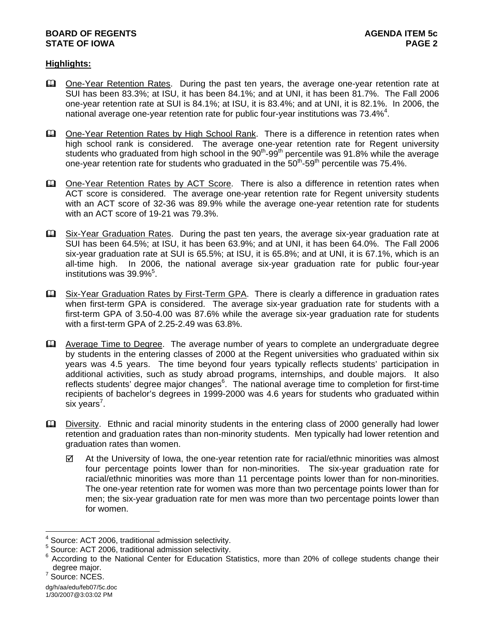#### **BOARD OF REGENTS AGENUS AGENDA ITEM** 5c **STATE OF IOWA** PAGE 2

## **Highlights:**

- One-Year Retention Rates. During the past ten years, the average one-year retention rate at SUI has been 83.3%; at ISU, it has been 84.1%; and at UNI, it has been 81.7%. The Fall 2006 one-year retention rate at SUI is 84.1%; at ISU, it is 83.4%; and at UNI, it is 82.1%. In 2006, the national average one-year retention rate for public four-year institutions was 73.4% $^4$ .
- **ED** One-Year Retention Rates by High School Rank. There is a difference in retention rates when high school rank is considered. The average one-year retention rate for Regent university students who graduated from high school in the 90<sup>th</sup>-99<sup>th</sup> percentile was 91.8% while the average one-year retention rate for students who graduated in the  $50<sup>th</sup>$ -59<sup>th</sup> percentile was 75.4%.
- One-Year Retention Rates by ACT Score. There is also a difference in retention rates when ACT score is considered. The average one-year retention rate for Regent university students with an ACT score of 32-36 was 89.9% while the average one-year retention rate for students with an ACT score of 19-21 was 79.3%.
- **Example 31x-Year Graduation Rates.** During the past ten years, the average six-year graduation rate at SUI has been 64.5%; at ISU, it has been 63.9%; and at UNI, it has been 64.0%. The Fall 2006 six-year graduation rate at SUI is 65.5%; at ISU, it is 65.8%; and at UNI, it is 67.1%, which is an all-time high. In 2006, the national average six-year graduation rate for public four-year institutions was 39.9%<sup>5</sup>.
- Six-Year Graduation Rates by First-Term GPA. There is clearly a difference in graduation rates when first-term GPA is considered. The average six-year graduation rate for students with a first-term GPA of 3.50-4.00 was 87.6% while the average six-year graduation rate for students with a first-term GPA of 2.25-2.49 was 63.8%.
- Average Time to Degree. The average number of years to complete an undergraduate degree by students in the entering classes of 2000 at the Regent universities who graduated within six years was 4.5 years. The time beyond four years typically reflects students' participation in additional activities, such as study abroad programs, internships, and double majors. It also reflects students' degree major changes<sup>6</sup>. The national average time to completion for first-time recipients of bachelor's degrees in 1999-2000 was 4.6 years for students who graduated within six years<sup>7</sup>.
- Diversity. Ethnic and racial minority students in the entering class of 2000 generally had lower retention and graduation rates than non-minority students. Men typically had lower retention and graduation rates than women.
	- $\boxtimes$  At the University of Iowa, the one-year retention rate for racial/ethnic minorities was almost four percentage points lower than for non-minorities. The six-year graduation rate for racial/ethnic minorities was more than 11 percentage points lower than for non-minorities. The one-year retention rate for women was more than two percentage points lower than for men; the six-year graduation rate for men was more than two percentage points lower than for women.

l 4 Source: ACT 2006, traditional admission selectivity.

<sup>&</sup>lt;sup>5</sup> Source: ACT 2006, traditional admission selectivity.

<sup>&</sup>lt;sup>6</sup> According to the National Center for Education Statistics, more than 20% of college students change their degree major.

<sup>&</sup>lt;sup>7</sup> Source: NCES.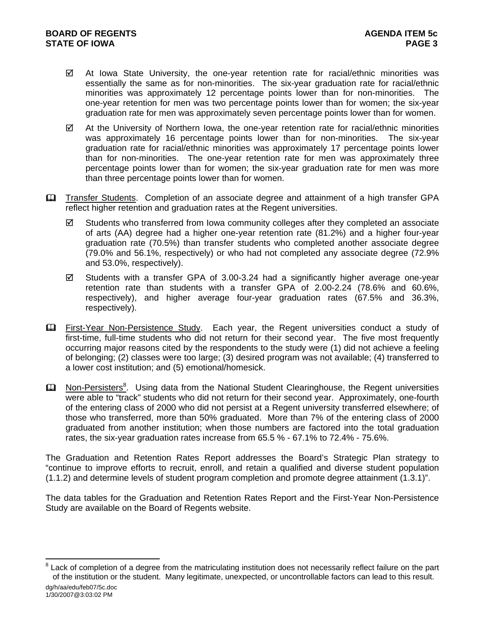- $\boxtimes$  At Iowa State University, the one-year retention rate for racial/ethnic minorities was essentially the same as for non-minorities. The six-year graduation rate for racial/ethnic minorities was approximately 12 percentage points lower than for non-minorities. The one-year retention for men was two percentage points lower than for women; the six-year graduation rate for men was approximately seven percentage points lower than for women.
- $\boxtimes$  At the University of Northern Iowa, the one-year retention rate for racial/ethnic minorities was approximately 16 percentage points lower than for non-minorities. The six-year graduation rate for racial/ethnic minorities was approximately 17 percentage points lower than for non-minorities. The one-year retention rate for men was approximately three percentage points lower than for women; the six-year graduation rate for men was more than three percentage points lower than for women.
- Transfer Students. Completion of an associate degree and attainment of a high transfer GPA reflect higher retention and graduation rates at the Regent universities.
	- $\boxtimes$  Students who transferred from lowa community colleges after they completed an associate of arts (AA) degree had a higher one-year retention rate (81.2%) and a higher four-year graduation rate (70.5%) than transfer students who completed another associate degree (79.0% and 56.1%, respectively) or who had not completed any associate degree (72.9% and 53.0%, respectively).
	- $\boxtimes$  Students with a transfer GPA of 3.00-3.24 had a significantly higher average one-year retention rate than students with a transfer GPA of 2.00-2.24 (78.6% and 60.6%, respectively), and higher average four-year graduation rates (67.5% and 36.3%, respectively).
- First-Year Non-Persistence Study. Each year, the Regent universities conduct a study of first-time, full-time students who did not return for their second year. The five most frequently occurring major reasons cited by the respondents to the study were (1) did not achieve a feeling of belonging; (2) classes were too large; (3) desired program was not available; (4) transferred to a lower cost institution; and (5) emotional/homesick.
- **Ell** Non-Persisters<sup>8</sup>. Using data from the National Student Clearinghouse, the Regent universities were able to "track" students who did not return for their second year. Approximately, one-fourth of the entering class of 2000 who did not persist at a Regent university transferred elsewhere; of those who transferred, more than 50% graduated. More than 7% of the entering class of 2000 graduated from another institution; when those numbers are factored into the total graduation rates, the six-year graduation rates increase from 65.5 % - 67.1% to 72.4% - 75.6%.

The Graduation and Retention Rates Report addresses the Board's Strategic Plan strategy to "continue to improve efforts to recruit, enroll, and retain a qualified and diverse student population (1.1.2) and determine levels of student program completion and promote degree attainment (1.3.1)".

The data tables for the Graduation and Retention Rates Report and the First-Year Non-Persistence Study are available on the Board of Regents website.

l

dg/h/aa/edu/feb07/5c.doc 8 Lack of completion of a degree from the matriculating institution does not necessarily reflect failure on the part of the institution or the student. Many legitimate, unexpected, or uncontrollable factors can lead to this result.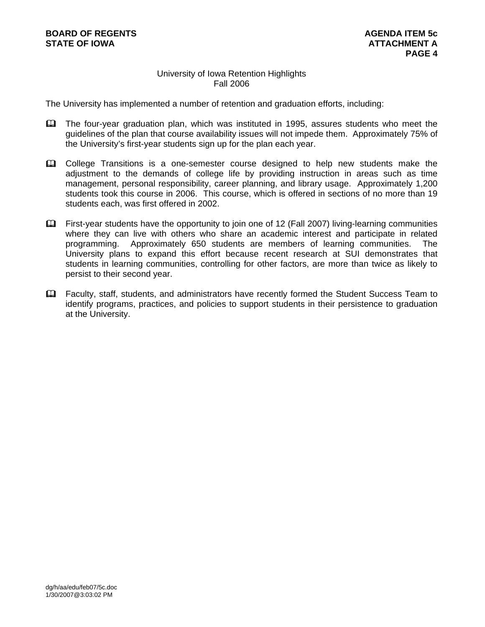# University of Iowa Retention Highlights Fall 2006

The University has implemented a number of retention and graduation efforts, including:

- The four-year graduation plan, which was instituted in 1995, assures students who meet the guidelines of the plan that course availability issues will not impede them. Approximately 75% of the University's first-year students sign up for the plan each year.
- College Transitions is a one-semester course designed to help new students make the adjustment to the demands of college life by providing instruction in areas such as time management, personal responsibility, career planning, and library usage. Approximately 1,200 students took this course in 2006. This course, which is offered in sections of no more than 19 students each, was first offered in 2002.
- First-year students have the opportunity to join one of 12 (Fall 2007) living-learning communities where they can live with others who share an academic interest and participate in related programming. Approximately 650 students are members of learning communities. The University plans to expand this effort because recent research at SUI demonstrates that students in learning communities, controlling for other factors, are more than twice as likely to persist to their second year.
- Faculty, staff, students, and administrators have recently formed the Student Success Team to identify programs, practices, and policies to support students in their persistence to graduation at the University.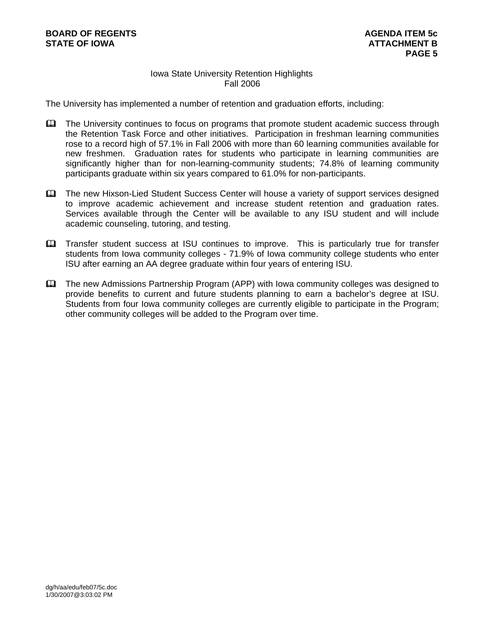# Iowa State University Retention Highlights Fall 2006

The University has implemented a number of retention and graduation efforts, including:

- The University continues to focus on programs that promote student academic success through the Retention Task Force and other initiatives. Participation in freshman learning communities rose to a record high of 57.1% in Fall 2006 with more than 60 learning communities available for new freshmen. Graduation rates for students who participate in learning communities are significantly higher than for non-learning-community students; 74.8% of learning community participants graduate within six years compared to 61.0% for non-participants.
- The new Hixson-Lied Student Success Center will house a variety of support services designed to improve academic achievement and increase student retention and graduation rates. Services available through the Center will be available to any ISU student and will include academic counseling, tutoring, and testing.
- **Example 1** Transfer student success at ISU continues to improve. This is particularly true for transfer students from Iowa community colleges - 71.9% of Iowa community college students who enter ISU after earning an AA degree graduate within four years of entering ISU.
- The new Admissions Partnership Program (APP) with Iowa community colleges was designed to provide benefits to current and future students planning to earn a bachelor's degree at ISU. Students from four Iowa community colleges are currently eligible to participate in the Program; other community colleges will be added to the Program over time.